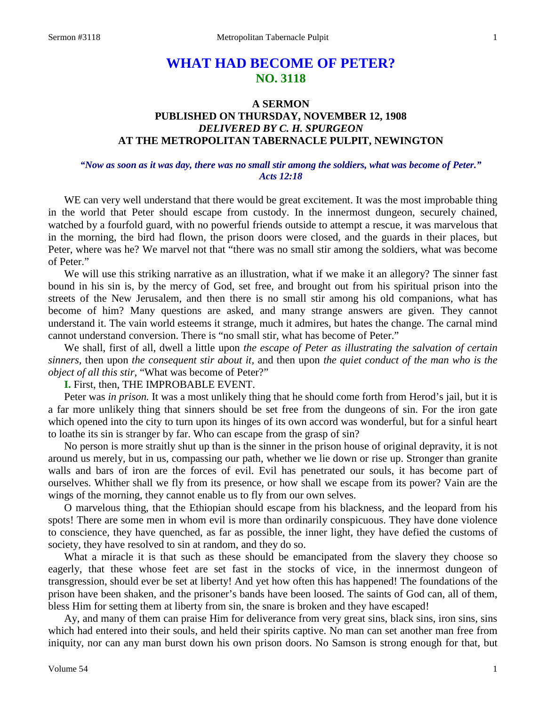# **WHAT HAD BECOME OF PETER? NO. 3118**

# **A SERMON PUBLISHED ON THURSDAY, NOVEMBER 12, 1908** *DELIVERED BY C. H. SPURGEON* **AT THE METROPOLITAN TABERNACLE PULPIT, NEWINGTON**

#### *"Now as soon as it was day, there was no small stir among the soldiers, what was become of Peter." Acts 12:18*

WE can very well understand that there would be great excitement. It was the most improbable thing in the world that Peter should escape from custody. In the innermost dungeon, securely chained, watched by a fourfold guard, with no powerful friends outside to attempt a rescue, it was marvelous that in the morning, the bird had flown, the prison doors were closed, and the guards in their places, but Peter, where was he? We marvel not that "there was no small stir among the soldiers, what was become of Peter."

We will use this striking narrative as an illustration, what if we make it an allegory? The sinner fast bound in his sin is, by the mercy of God, set free, and brought out from his spiritual prison into the streets of the New Jerusalem, and then there is no small stir among his old companions, what has become of him? Many questions are asked, and many strange answers are given. They cannot understand it. The vain world esteems it strange, much it admires, but hates the change. The carnal mind cannot understand conversion. There is "no small stir, what has become of Peter."

We shall, first of all, dwell a little upon *the escape of Peter as illustrating the salvation of certain sinners,* then upon *the consequent stir about it,* and then upon *the quiet conduct of the man who is the object of all this stir,* "What was become of Peter?"

#### **I.** First, then, THE IMPROBABLE EVENT.

Peter was *in prison*. It was a most unlikely thing that he should come forth from Herod's jail, but it is a far more unlikely thing that sinners should be set free from the dungeons of sin. For the iron gate which opened into the city to turn upon its hinges of its own accord was wonderful, but for a sinful heart to loathe its sin is stranger by far. Who can escape from the grasp of sin?

No person is more straitly shut up than is the sinner in the prison house of original depravity, it is not around us merely, but in us, compassing our path, whether we lie down or rise up. Stronger than granite walls and bars of iron are the forces of evil. Evil has penetrated our souls, it has become part of ourselves. Whither shall we fly from its presence, or how shall we escape from its power? Vain are the wings of the morning, they cannot enable us to fly from our own selves.

O marvelous thing, that the Ethiopian should escape from his blackness, and the leopard from his spots! There are some men in whom evil is more than ordinarily conspicuous. They have done violence to conscience, they have quenched, as far as possible, the inner light, they have defied the customs of society, they have resolved to sin at random, and they do so.

What a miracle it is that such as these should be emancipated from the slavery they choose so eagerly, that these whose feet are set fast in the stocks of vice, in the innermost dungeon of transgression, should ever be set at liberty! And yet how often this has happened! The foundations of the prison have been shaken, and the prisoner's bands have been loosed. The saints of God can, all of them, bless Him for setting them at liberty from sin, the snare is broken and they have escaped!

Ay, and many of them can praise Him for deliverance from very great sins, black sins, iron sins, sins which had entered into their souls, and held their spirits captive. No man can set another man free from iniquity, nor can any man burst down his own prison doors. No Samson is strong enough for that, but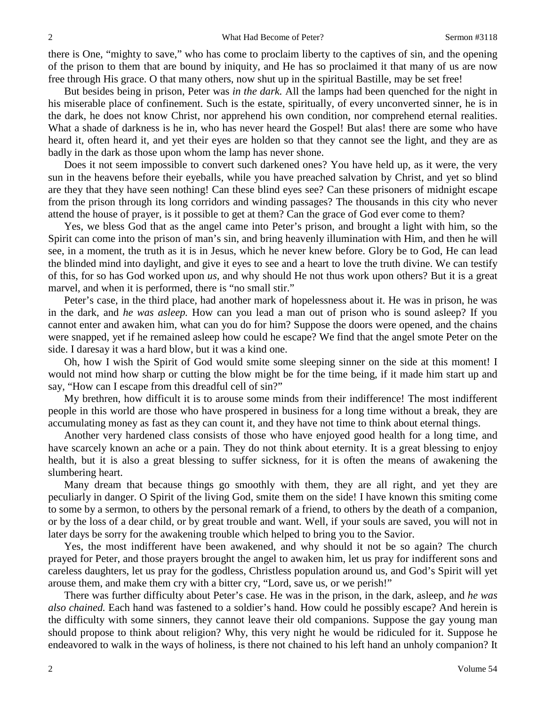there is One, "mighty to save," who has come to proclaim liberty to the captives of sin, and the opening of the prison to them that are bound by iniquity, and He has so proclaimed it that many of us are now free through His grace. O that many others, now shut up in the spiritual Bastille, may be set free!

But besides being in prison, Peter was *in the dark.* All the lamps had been quenched for the night in his miserable place of confinement. Such is the estate, spiritually, of every unconverted sinner, he is in the dark, he does not know Christ, nor apprehend his own condition, nor comprehend eternal realities. What a shade of darkness is he in, who has never heard the Gospel! But alas! there are some who have heard it, often heard it, and yet their eyes are holden so that they cannot see the light, and they are as badly in the dark as those upon whom the lamp has never shone.

Does it not seem impossible to convert such darkened ones? You have held up, as it were, the very sun in the heavens before their eyeballs, while you have preached salvation by Christ, and yet so blind are they that they have seen nothing! Can these blind eyes see? Can these prisoners of midnight escape from the prison through its long corridors and winding passages? The thousands in this city who never attend the house of prayer, is it possible to get at them? Can the grace of God ever come to them?

Yes, we bless God that as the angel came into Peter's prison, and brought a light with him, so the Spirit can come into the prison of man's sin, and bring heavenly illumination with Him, and then he will see, in a moment, the truth as it is in Jesus, which he never knew before. Glory be to God, He can lead the blinded mind into daylight, and give it eyes to see and a heart to love the truth divine. We can testify of this, for so has God worked upon *us,* and why should He not thus work upon others? But it is a great marvel, and when it is performed, there is "no small stir."

Peter's case, in the third place, had another mark of hopelessness about it. He was in prison, he was in the dark, and *he was asleep.* How can you lead a man out of prison who is sound asleep? If you cannot enter and awaken him, what can you do for him? Suppose the doors were opened, and the chains were snapped, yet if he remained asleep how could he escape? We find that the angel smote Peter on the side. I daresay it was a hard blow, but it was a kind one.

Oh, how I wish the Spirit of God would smite some sleeping sinner on the side at this moment! I would not mind how sharp or cutting the blow might be for the time being, if it made him start up and say, "How can I escape from this dreadful cell of sin?"

My brethren, how difficult it is to arouse some minds from their indifference! The most indifferent people in this world are those who have prospered in business for a long time without a break, they are accumulating money as fast as they can count it, and they have not time to think about eternal things.

Another very hardened class consists of those who have enjoyed good health for a long time, and have scarcely known an ache or a pain. They do not think about eternity. It is a great blessing to enjoy health, but it is also a great blessing to suffer sickness, for it is often the means of awakening the slumbering heart.

Many dream that because things go smoothly with them, they are all right, and yet they are peculiarly in danger. O Spirit of the living God, smite them on the side! I have known this smiting come to some by a sermon, to others by the personal remark of a friend, to others by the death of a companion, or by the loss of a dear child, or by great trouble and want. Well, if your souls are saved, you will not in later days be sorry for the awakening trouble which helped to bring you to the Savior.

Yes, the most indifferent have been awakened, and why should it not be so again? The church prayed for Peter, and those prayers brought the angel to awaken him, let us pray for indifferent sons and careless daughters, let us pray for the godless, Christless population around us, and God's Spirit will yet arouse them, and make them cry with a bitter cry, "Lord, save us, or we perish!"

There was further difficulty about Peter's case. He was in the prison, in the dark, asleep, and *he was also chained.* Each hand was fastened to a soldier's hand. How could he possibly escape? And herein is the difficulty with some sinners, they cannot leave their old companions. Suppose the gay young man should propose to think about religion? Why, this very night he would be ridiculed for it. Suppose he endeavored to walk in the ways of holiness, is there not chained to his left hand an unholy companion? It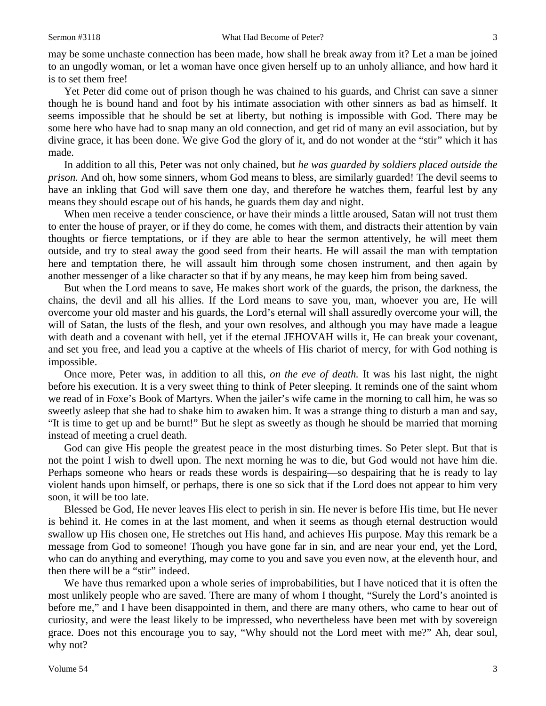may be some unchaste connection has been made, how shall he break away from it? Let a man be joined to an ungodly woman, or let a woman have once given herself up to an unholy alliance, and how hard it is to set them free!

Yet Peter did come out of prison though he was chained to his guards, and Christ can save a sinner though he is bound hand and foot by his intimate association with other sinners as bad as himself. It seems impossible that he should be set at liberty, but nothing is impossible with God. There may be some here who have had to snap many an old connection, and get rid of many an evil association, but by divine grace, it has been done. We give God the glory of it, and do not wonder at the "stir" which it has made.

In addition to all this, Peter was not only chained, but *he was guarded by soldiers placed outside the prison.* And oh, how some sinners, whom God means to bless, are similarly guarded! The devil seems to have an inkling that God will save them one day, and therefore he watches them, fearful lest by any means they should escape out of his hands, he guards them day and night.

When men receive a tender conscience, or have their minds a little aroused, Satan will not trust them to enter the house of prayer, or if they do come, he comes with them, and distracts their attention by vain thoughts or fierce temptations, or if they are able to hear the sermon attentively, he will meet them outside, and try to steal away the good seed from their hearts. He will assail the man with temptation here and temptation there, he will assault him through some chosen instrument, and then again by another messenger of a like character so that if by any means, he may keep him from being saved.

But when the Lord means to save, He makes short work of the guards, the prison, the darkness, the chains, the devil and all his allies. If the Lord means to save you, man, whoever you are, He will overcome your old master and his guards, the Lord's eternal will shall assuredly overcome your will, the will of Satan, the lusts of the flesh, and your own resolves, and although you may have made a league with death and a covenant with hell, yet if the eternal JEHOVAH wills it, He can break your covenant, and set you free, and lead you a captive at the wheels of His chariot of mercy, for with God nothing is impossible.

Once more, Peter was, in addition to all this, *on the eve of death.* It was his last night, the night before his execution. It is a very sweet thing to think of Peter sleeping. It reminds one of the saint whom we read of in Foxe's Book of Martyrs. When the jailer's wife came in the morning to call him, he was so sweetly asleep that she had to shake him to awaken him. It was a strange thing to disturb a man and say, "It is time to get up and be burnt!" But he slept as sweetly as though he should be married that morning instead of meeting a cruel death.

God can give His people the greatest peace in the most disturbing times. So Peter slept. But that is not the point I wish to dwell upon. The next morning he was to die, but God would not have him die. Perhaps someone who hears or reads these words is despairing—so despairing that he is ready to lay violent hands upon himself, or perhaps, there is one so sick that if the Lord does not appear to him very soon, it will be too late.

Blessed be God, He never leaves His elect to perish in sin. He never is before His time, but He never is behind it. He comes in at the last moment, and when it seems as though eternal destruction would swallow up His chosen one, He stretches out His hand, and achieves His purpose. May this remark be a message from God to someone! Though you have gone far in sin, and are near your end, yet the Lord, who can do anything and everything, may come to you and save you even now, at the eleventh hour, and then there will be a "stir" indeed.

We have thus remarked upon a whole series of improbabilities, but I have noticed that it is often the most unlikely people who are saved. There are many of whom I thought, "Surely the Lord's anointed is before me," and I have been disappointed in them, and there are many others, who came to hear out of curiosity, and were the least likely to be impressed, who nevertheless have been met with by sovereign grace. Does not this encourage you to say, "Why should not the Lord meet with me?" Ah, dear soul, why not?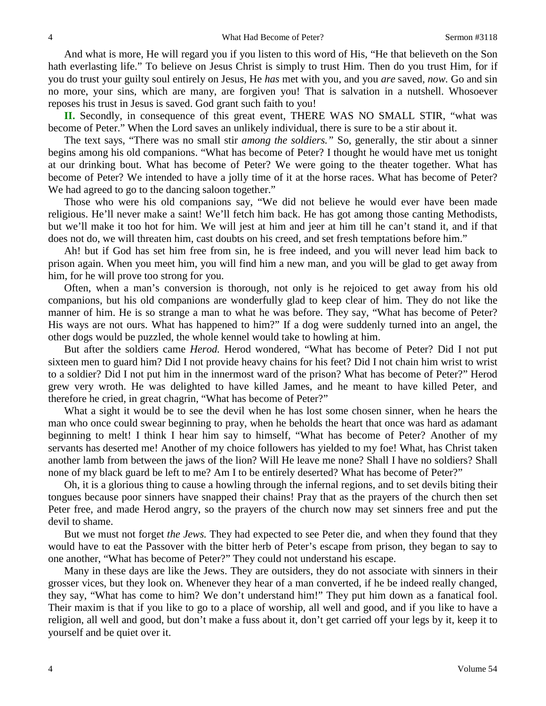And what is more, He will regard you if you listen to this word of His, "He that believeth on the Son hath everlasting life." To believe on Jesus Christ is simply to trust Him. Then do you trust Him, for if you do trust your guilty soul entirely on Jesus, He *has* met with you, and you *are* saved, *now.* Go and sin no more, your sins, which are many, are forgiven you! That is salvation in a nutshell. Whosoever reposes his trust in Jesus is saved. God grant such faith to you!

**II.** Secondly, in consequence of this great event, THERE WAS NO SMALL STIR, "what was become of Peter." When the Lord saves an unlikely individual, there is sure to be a stir about it.

The text says, "There was no small stir *among the soldiers."* So, generally, the stir about a sinner begins among his old companions. "What has become of Peter? I thought he would have met us tonight at our drinking bout. What has become of Peter? We were going to the theater together. What has become of Peter? We intended to have a jolly time of it at the horse races. What has become of Peter? We had agreed to go to the dancing saloon together."

Those who were his old companions say, "We did not believe he would ever have been made religious. He'll never make a saint! We'll fetch him back. He has got among those canting Methodists, but we'll make it too hot for him. We will jest at him and jeer at him till he can't stand it, and if that does not do, we will threaten him, cast doubts on his creed, and set fresh temptations before him."

Ah! but if God has set him free from sin, he is free indeed, and you will never lead him back to prison again. When you meet him, you will find him a new man, and you will be glad to get away from him, for he will prove too strong for you.

Often, when a man's conversion is thorough, not only is he rejoiced to get away from his old companions, but his old companions are wonderfully glad to keep clear of him. They do not like the manner of him. He is so strange a man to what he was before. They say, "What has become of Peter? His ways are not ours. What has happened to him?" If a dog were suddenly turned into an angel, the other dogs would be puzzled, the whole kennel would take to howling at him.

But after the soldiers came *Herod.* Herod wondered, "What has become of Peter? Did I not put sixteen men to guard him? Did I not provide heavy chains for his feet? Did I not chain him wrist to wrist to a soldier? Did I not put him in the innermost ward of the prison? What has become of Peter?" Herod grew very wroth. He was delighted to have killed James, and he meant to have killed Peter, and therefore he cried, in great chagrin, "What has become of Peter?"

What a sight it would be to see the devil when he has lost some chosen sinner, when he hears the man who once could swear beginning to pray, when he beholds the heart that once was hard as adamant beginning to melt! I think I hear him say to himself, "What has become of Peter? Another of my servants has deserted me! Another of my choice followers has yielded to my foe! What, has Christ taken another lamb from between the jaws of the lion? Will He leave me none? Shall I have no soldiers? Shall none of my black guard be left to me? Am I to be entirely deserted? What has become of Peter?"

Oh, it is a glorious thing to cause a howling through the infernal regions, and to set devils biting their tongues because poor sinners have snapped their chains! Pray that as the prayers of the church then set Peter free, and made Herod angry, so the prayers of the church now may set sinners free and put the devil to shame.

But we must not forget *the Jews.* They had expected to see Peter die, and when they found that they would have to eat the Passover with the bitter herb of Peter's escape from prison, they began to say to one another, "What has become of Peter?" They could not understand his escape.

Many in these days are like the Jews. They are outsiders, they do not associate with sinners in their grosser vices, but they look on. Whenever they hear of a man converted, if he be indeed really changed, they say, "What has come to him? We don't understand him!" They put him down as a fanatical fool. Their maxim is that if you like to go to a place of worship, all well and good, and if you like to have a religion, all well and good, but don't make a fuss about it, don't get carried off your legs by it, keep it to yourself and be quiet over it.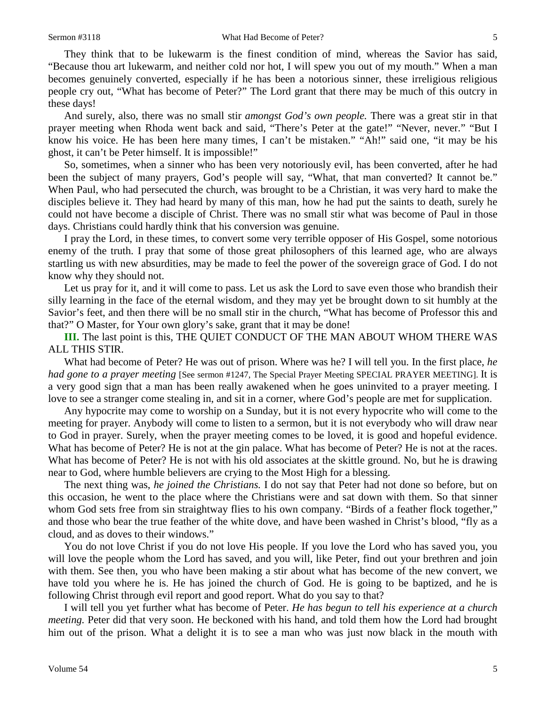They think that to be lukewarm is the finest condition of mind, whereas the Savior has said, "Because thou art lukewarm, and neither cold nor hot, I will spew you out of my mouth." When a man becomes genuinely converted, especially if he has been a notorious sinner, these irreligious religious people cry out, "What has become of Peter?" The Lord grant that there may be much of this outcry in these days!

And surely, also, there was no small stir *amongst God's own people.* There was a great stir in that prayer meeting when Rhoda went back and said, "There's Peter at the gate!" "Never, never." "But I know his voice. He has been here many times, I can't be mistaken." "Ah!" said one, "it may be his ghost, it can't be Peter himself. It is impossible!"

So, sometimes, when a sinner who has been very notoriously evil, has been converted, after he had been the subject of many prayers, God's people will say, "What, that man converted? It cannot be." When Paul, who had persecuted the church, was brought to be a Christian, it was very hard to make the disciples believe it. They had heard by many of this man, how he had put the saints to death, surely he could not have become a disciple of Christ. There was no small stir what was become of Paul in those days. Christians could hardly think that his conversion was genuine.

I pray the Lord, in these times, to convert some very terrible opposer of His Gospel, some notorious enemy of the truth. I pray that some of those great philosophers of this learned age, who are always startling us with new absurdities, may be made to feel the power of the sovereign grace of God. I do not know why they should not.

Let us pray for it, and it will come to pass. Let us ask the Lord to save even those who brandish their silly learning in the face of the eternal wisdom, and they may yet be brought down to sit humbly at the Savior's feet, and then there will be no small stir in the church, "What has become of Professor this and that?" O Master, for Your own glory's sake, grant that it may be done!

**III.** The last point is this, THE QUIET CONDUCT OF THE MAN ABOUT WHOM THERE WAS ALL THIS STIR.

What had become of Peter? He was out of prison. Where was he? I will tell you. In the first place, *he had gone to a prayer meeting* [See sermon #1247, The Special Prayer Meeting SPECIAL PRAYER MEETING]. It is a very good sign that a man has been really awakened when he goes uninvited to a prayer meeting. I love to see a stranger come stealing in, and sit in a corner, where God's people are met for supplication.

Any hypocrite may come to worship on a Sunday, but it is not every hypocrite who will come to the meeting for prayer. Anybody will come to listen to a sermon, but it is not everybody who will draw near to God in prayer. Surely, when the prayer meeting comes to be loved, it is good and hopeful evidence. What has become of Peter? He is not at the gin palace. What has become of Peter? He is not at the races. What has become of Peter? He is not with his old associates at the skittle ground. No, but he is drawing near to God, where humble believers are crying to the Most High for a blessing.

The next thing was, *he joined the Christians.* I do not say that Peter had not done so before, but on this occasion, he went to the place where the Christians were and sat down with them. So that sinner whom God sets free from sin straightway flies to his own company. "Birds of a feather flock together," and those who bear the true feather of the white dove, and have been washed in Christ's blood, "fly as a cloud, and as doves to their windows."

You do not love Christ if you do not love His people. If you love the Lord who has saved you, you will love the people whom the Lord has saved, and you will, like Peter, find out your brethren and join with them. See then, you who have been making a stir about what has become of the new convert, we have told you where he is. He has joined the church of God. He is going to be baptized, and he is following Christ through evil report and good report. What do you say to that?

I will tell you yet further what has become of Peter. *He has begun to tell his experience at a church meeting.* Peter did that very soon. He beckoned with his hand, and told them how the Lord had brought him out of the prison. What a delight it is to see a man who was just now black in the mouth with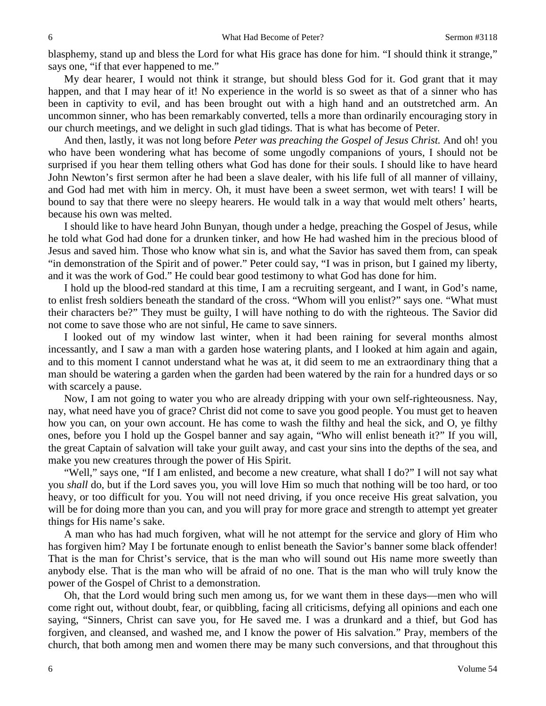blasphemy, stand up and bless the Lord for what His grace has done for him. "I should think it strange," says one, "if that ever happened to me."

My dear hearer, I would not think it strange, but should bless God for it. God grant that it may happen, and that I may hear of it! No experience in the world is so sweet as that of a sinner who has been in captivity to evil, and has been brought out with a high hand and an outstretched arm. An uncommon sinner, who has been remarkably converted, tells a more than ordinarily encouraging story in our church meetings, and we delight in such glad tidings. That is what has become of Peter.

And then, lastly, it was not long before *Peter was preaching the Gospel of Jesus Christ.* And oh! you who have been wondering what has become of some ungodly companions of yours, I should not be surprised if you hear them telling others what God has done for their souls. I should like to have heard John Newton's first sermon after he had been a slave dealer, with his life full of all manner of villainy, and God had met with him in mercy. Oh, it must have been a sweet sermon, wet with tears! I will be bound to say that there were no sleepy hearers. He would talk in a way that would melt others' hearts, because his own was melted.

I should like to have heard John Bunyan, though under a hedge, preaching the Gospel of Jesus, while he told what God had done for a drunken tinker, and how He had washed him in the precious blood of Jesus and saved him. Those who know what sin is, and what the Savior has saved them from, can speak "in demonstration of the Spirit and of power." Peter could say, "I was in prison, but I gained my liberty, and it was the work of God." He could bear good testimony to what God has done for him.

I hold up the blood-red standard at this time, I am a recruiting sergeant, and I want, in God's name, to enlist fresh soldiers beneath the standard of the cross. "Whom will you enlist?" says one. "What must their characters be?" They must be guilty, I will have nothing to do with the righteous. The Savior did not come to save those who are not sinful, He came to save sinners.

I looked out of my window last winter, when it had been raining for several months almost incessantly, and I saw a man with a garden hose watering plants, and I looked at him again and again, and to this moment I cannot understand what he was at, it did seem to me an extraordinary thing that a man should be watering a garden when the garden had been watered by the rain for a hundred days or so with scarcely a pause.

Now, I am not going to water you who are already dripping with your own self-righteousness. Nay, nay, what need have you of grace? Christ did not come to save you good people. You must get to heaven how you can, on your own account. He has come to wash the filthy and heal the sick, and O, ye filthy ones, before you I hold up the Gospel banner and say again, "Who will enlist beneath it?" If you will, the great Captain of salvation will take your guilt away, and cast your sins into the depths of the sea, and make you new creatures through the power of His Spirit.

"Well," says one, "If I am enlisted, and become a new creature, what shall I do?" I will not say what you *shall* do, but if the Lord saves you, you will love Him so much that nothing will be too hard, or too heavy, or too difficult for you. You will not need driving, if you once receive His great salvation, you will be for doing more than you can, and you will pray for more grace and strength to attempt yet greater things for His name's sake.

A man who has had much forgiven, what will he not attempt for the service and glory of Him who has forgiven him? May I be fortunate enough to enlist beneath the Savior's banner some black offender! That is the man for Christ's service, that is the man who will sound out His name more sweetly than anybody else. That is the man who will be afraid of no one. That is the man who will truly know the power of the Gospel of Christ to a demonstration.

Oh, that the Lord would bring such men among us, for we want them in these days—men who will come right out, without doubt, fear, or quibbling, facing all criticisms, defying all opinions and each one saying, "Sinners, Christ can save you, for He saved me. I was a drunkard and a thief, but God has forgiven, and cleansed, and washed me, and I know the power of His salvation." Pray, members of the church, that both among men and women there may be many such conversions, and that throughout this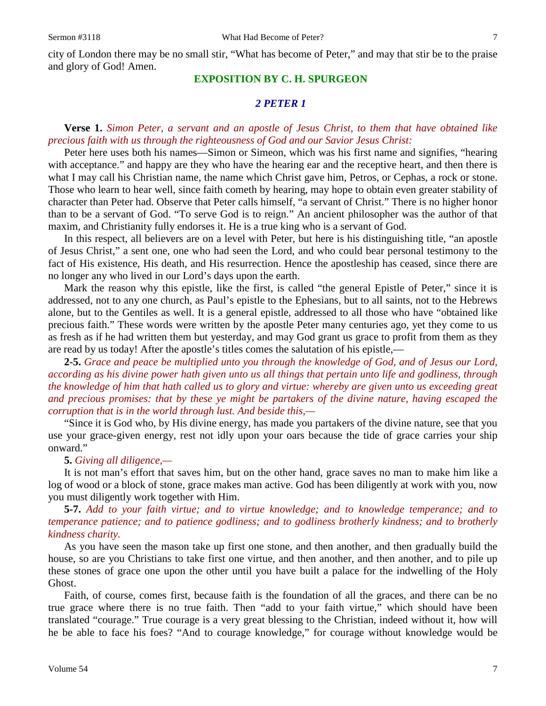city of London there may be no small stir, "What has become of Peter," and may that stir be to the praise and glory of God! Amen.

### **EXPOSITION BY C. H. SPURGEON**

# *2 PETER 1*

## **Verse 1.** *Simon Peter, a servant and an apostle of Jesus Christ, to them that have obtained like precious faith with us through the righteousness of God and our Savior Jesus Christ:*

Peter here uses both his names—Simon or Simeon, which was his first name and signifies, "hearing with acceptance." and happy are they who have the hearing ear and the receptive heart, and then there is what I may call his Christian name, the name which Christ gave him, Petros, or Cephas, a rock or stone. Those who learn to hear well, since faith cometh by hearing, may hope to obtain even greater stability of character than Peter had. Observe that Peter calls himself, "a servant of Christ." There is no higher honor than to be a servant of God. "To serve God is to reign." An ancient philosopher was the author of that maxim, and Christianity fully endorses it. He is a true king who is a servant of God.

In this respect, all believers are on a level with Peter, but here is his distinguishing title, "an apostle of Jesus Christ," a sent one, one who had seen the Lord, and who could bear personal testimony to the fact of His existence, His death, and His resurrection. Hence the apostleship has ceased, since there are no longer any who lived in our Lord's days upon the earth.

Mark the reason why this epistle, like the first, is called "the general Epistle of Peter," since it is addressed, not to any one church, as Paul's epistle to the Ephesians, but to all saints, not to the Hebrews alone, but to the Gentiles as well. It is a general epistle, addressed to all those who have "obtained like precious faith." These words were written by the apostle Peter many centuries ago, yet they come to us as fresh as if he had written them but yesterday, and may God grant us grace to profit from them as they are read by us today! After the apostle's titles comes the salutation of his epistle,—

**2-5.** *Grace and peace be multiplied unto you through the knowledge of God, and of Jesus our Lord, according as his divine power hath given unto us all things that pertain unto life and godliness, through the knowledge of him that hath called us to glory and virtue: whereby are given unto us exceeding great and precious promises: that by these ye might be partakers of the divine nature, having escaped the corruption that is in the world through lust. And beside this,—*

"Since it is God who, by His divine energy, has made you partakers of the divine nature, see that you use your grace-given energy, rest not idly upon your oars because the tide of grace carries your ship onward."

#### **5.** *Giving all diligence,—*

It is not man's effort that saves him, but on the other hand, grace saves no man to make him like a log of wood or a block of stone, grace makes man active. God has been diligently at work with you, now you must diligently work together with Him.

**5-7.** *Add to your faith virtue; and to virtue knowledge; and to knowledge temperance; and to temperance patience; and to patience godliness; and to godliness brotherly kindness; and to brotherly kindness charity.*

As you have seen the mason take up first one stone, and then another, and then gradually build the house, so are you Christians to take first one virtue, and then another, and then another, and to pile up these stones of grace one upon the other until you have built a palace for the indwelling of the Holy Ghost.

Faith, of course, comes first, because faith is the foundation of all the graces, and there can be no true grace where there is no true faith. Then "add to your faith virtue," which should have been translated "courage." True courage is a very great blessing to the Christian, indeed without it, how will he be able to face his foes? "And to courage knowledge," for courage without knowledge would be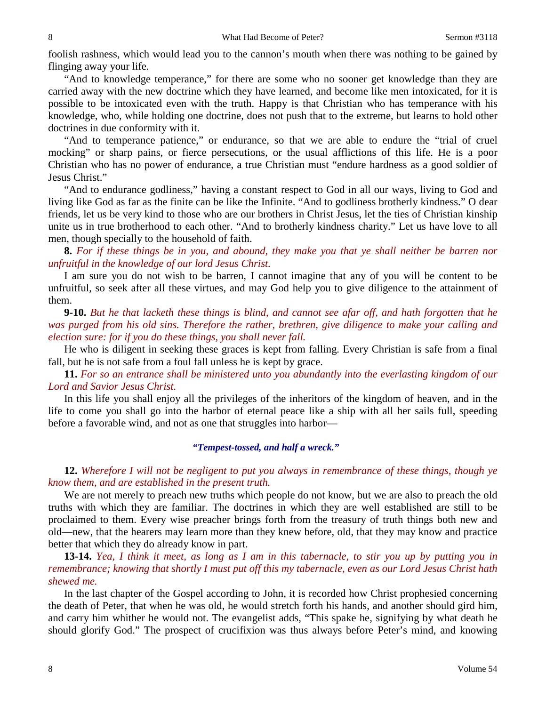foolish rashness, which would lead you to the cannon's mouth when there was nothing to be gained by flinging away your life.

"And to knowledge temperance," for there are some who no sooner get knowledge than they are carried away with the new doctrine which they have learned, and become like men intoxicated, for it is possible to be intoxicated even with the truth. Happy is that Christian who has temperance with his knowledge, who, while holding one doctrine, does not push that to the extreme, but learns to hold other doctrines in due conformity with it.

"And to temperance patience," or endurance, so that we are able to endure the "trial of cruel mocking" or sharp pains, or fierce persecutions, or the usual afflictions of this life. He is a poor Christian who has no power of endurance, a true Christian must "endure hardness as a good soldier of Jesus Christ."

"And to endurance godliness," having a constant respect to God in all our ways, living to God and living like God as far as the finite can be like the Infinite. "And to godliness brotherly kindness." O dear friends, let us be very kind to those who are our brothers in Christ Jesus, let the ties of Christian kinship unite us in true brotherhood to each other. "And to brotherly kindness charity." Let us have love to all men, though specially to the household of faith.

**8.** *For if these things be in you, and abound, they make you that ye shall neither be barren nor unfruitful in the knowledge of our lord Jesus Christ.*

I am sure you do not wish to be barren, I cannot imagine that any of you will be content to be unfruitful, so seek after all these virtues, and may God help you to give diligence to the attainment of them.

**9-10.** *But he that lacketh these things is blind, and cannot see afar off, and hath forgotten that he was purged from his old sins. Therefore the rather, brethren, give diligence to make your calling and election sure: for if you do these things, you shall never fall.* 

He who is diligent in seeking these graces is kept from falling. Every Christian is safe from a final fall, but he is not safe from a foul fall unless he is kept by grace.

**11.** *For so an entrance shall be ministered unto you abundantly into the everlasting kingdom of our Lord and Savior Jesus Christ.*

In this life you shall enjoy all the privileges of the inheritors of the kingdom of heaven, and in the life to come you shall go into the harbor of eternal peace like a ship with all her sails full, speeding before a favorable wind, and not as one that struggles into harbor—

### *"Tempest-tossed, and half a wreck."*

**12.** *Wherefore I will not be negligent to put you always in remembrance of these things, though ye know them, and are established in the present truth.*

We are not merely to preach new truths which people do not know, but we are also to preach the old truths with which they are familiar. The doctrines in which they are well established are still to be proclaimed to them. Every wise preacher brings forth from the treasury of truth things both new and old—new, that the hearers may learn more than they knew before, old, that they may know and practice better that which they do already know in part.

**13-14.** *Yea, I think it meet, as long as I am in this tabernacle, to stir you up by putting you in remembrance; knowing that shortly I must put off this my tabernacle, even as our Lord Jesus Christ hath shewed me.*

In the last chapter of the Gospel according to John, it is recorded how Christ prophesied concerning the death of Peter, that when he was old, he would stretch forth his hands, and another should gird him, and carry him whither he would not. The evangelist adds, "This spake he, signifying by what death he should glorify God." The prospect of crucifixion was thus always before Peter's mind, and knowing